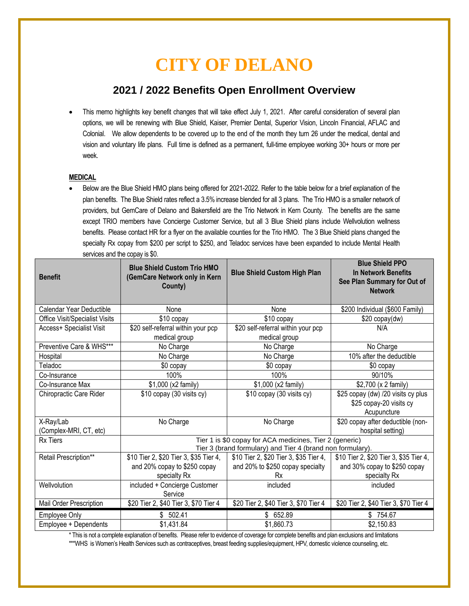# **CITY OF DELANO**

# **2021 / 2022 Benefits Open Enrollment Overview**

 This memo highlights key benefit changes that will take effect July 1, 2021. After careful consideration of several plan options, we will be renewing with Blue Shield, Kaiser, Premier Dental, Superior Vision, Lincoln Financial, AFLAC and Colonial. We allow dependents to be covered up to the end of the month they turn 26 under the medical, dental and vision and voluntary life plans. Full time is defined as a permanent, full-time employee working 30+ hours or more per week.

## **MEDICAL**

 Below are the Blue Shield HMO plans being offered for 2021-2022. Refer to the table below for a brief explanation of the plan benefits. The Blue Shield rates reflect a 3.5% increase blended for all 3 plans. The Trio HMO is a smaller network of providers, but GemCare of Delano and Bakersfield are the Trio Network in Kern County. The benefits are the same except TRIO members have Concierge Customer Service, but all 3 Blue Shield plans include Wellvolution wellness benefits. Please contact HR for a flyer on the available counties for the Trio HMO. The 3 Blue Shield plans changed the specialty Rx copay from \$200 per script to \$250, and Teladoc services have been expanded to include Mental Health services and the copay is \$0.

| <b>Benefit</b>                 | <b>Blue Shield Custom Trio HMO</b><br>(GemCare Network only in Kern<br>County) | <b>Blue Shield Custom High Plan</b>    | <b>Blue Shield PPO</b><br><b>In Network Benefits</b><br>See Plan Summary for Out of<br><b>Network</b> |
|--------------------------------|--------------------------------------------------------------------------------|----------------------------------------|-------------------------------------------------------------------------------------------------------|
| Calendar Year Deductible       | None                                                                           | None                                   | \$200 Individual (\$600 Family)                                                                       |
| Office Visit/Specialist Visits | \$10 copay                                                                     | \$10 copay                             | \$20 copay(dw)                                                                                        |
| Access+ Specialist Visit       | \$20 self-referral within your pcp                                             | \$20 self-referral within your pcp     | N/A                                                                                                   |
|                                | medical group                                                                  | medical group                          |                                                                                                       |
| Preventive Care & WHS***       | No Charge                                                                      | No Charge                              | No Charge                                                                                             |
| Hospital                       | No Charge                                                                      | No Charge                              | 10% after the deductible                                                                              |
| Teladoc                        | \$0 copay                                                                      | \$0 copay                              | \$0 copay                                                                                             |
| Co-Insurance                   | 100%                                                                           | 100%                                   | 90/10%                                                                                                |
| Co-Insurance Max               | \$1,000 (x2 family)                                                            | \$1,000 (x2 family)                    | \$2,700 (x 2 family)                                                                                  |
| Chiropractic Care Rider        | \$10 copay (30 visits cy)                                                      | \$10 copay (30 visits cy)              | \$25 copay (dw) /20 visits cy plus                                                                    |
|                                |                                                                                |                                        | \$25 copay-20 visits cy                                                                               |
|                                |                                                                                |                                        | Acupuncture                                                                                           |
| X-Ray/Lab                      | No Charge                                                                      | No Charge                              | \$20 copay after deductible (non-                                                                     |
| (Complex-MRI, CT, etc)         |                                                                                |                                        | hospital setting)                                                                                     |
| <b>Rx Tiers</b>                | Tier 1 is \$0 copay for ACA medicines, Tier 2 (generic)                        |                                        |                                                                                                       |
|                                | Tier 3 (brand formulary) and Tier 4 (brand non formulary).                     |                                        |                                                                                                       |
| Retail Prescription**          | \$10 Tier 2, \$20 Tier 3, \$35 Tier 4,                                         | \$10 Tier 2, \$20 Tier 3, \$35 Tier 4, | \$10 Tier 2, \$20 Tier 3, \$35 Tier 4,                                                                |
|                                | and 20% copay to \$250 copay                                                   | and 20% to \$250 copay specialty       | and 30% copay to \$250 copay                                                                          |
|                                | specialty Rx                                                                   | Rx                                     | specialty Rx                                                                                          |
| Wellvolution                   | included + Concierge Customer                                                  | included                               | included                                                                                              |
|                                | Service                                                                        |                                        |                                                                                                       |
| Mail Order Prescription        | \$20 Tier 2, \$40 Tier 3, \$70 Tier 4                                          | \$20 Tier 2, \$40 Tier 3, \$70 Tier 4  | \$20 Tier 2, \$40 Tier 3, \$70 Tier 4                                                                 |
| Employee Only                  | \$502.41                                                                       | 652.89<br>\$                           | \$754.67                                                                                              |
| Employee + Dependents          | \$1,431.84                                                                     | \$1,860.73                             | \$2,150.83                                                                                            |

\* This is not a complete explanation of benefits. Please refer to evidence of coverage for complete benefits and plan exclusions and limitations \*\*\*WHS is Women's Health Services such as contraceptives, breast feeding supplies/equipment, HPV, domestic violence counseling, etc.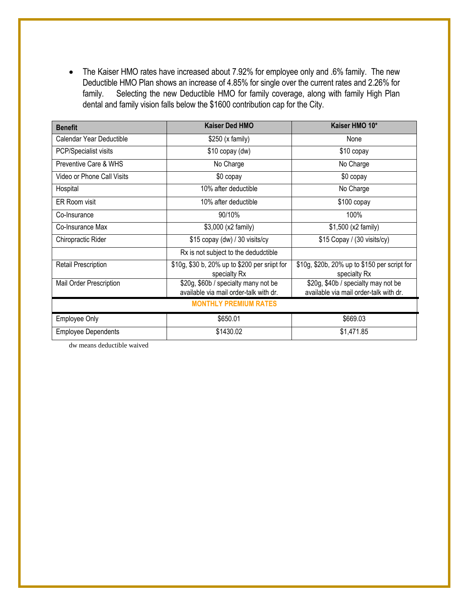• The Kaiser HMO rates have increased about 7.92% for employee only and .6% family. The new Deductible HMO Plan shows an increase of 4.85% for single over the current rates and 2.26% for family. Selecting the new Deductible HMO for family coverage, along with family High Plan dental and family vision falls below the \$1600 contribution cap for the City.

| <b>Benefit</b>               | <b>Kaiser Ded HMO</b>                                                          | Kaiser HMO 10*                                                                |  |  |
|------------------------------|--------------------------------------------------------------------------------|-------------------------------------------------------------------------------|--|--|
| Calendar Year Deductible     | \$250 (x family)                                                               | None                                                                          |  |  |
| PCP/Specialist visits        | \$10 copay (dw)                                                                | \$10 copay                                                                    |  |  |
| Preventive Care & WHS        | No Charge                                                                      | No Charge                                                                     |  |  |
| Video or Phone Call Visits   | \$0 copay                                                                      | \$0 copay                                                                     |  |  |
| Hospital                     | 10% after deductible                                                           | No Charge                                                                     |  |  |
| ER Room visit                | 10% after deductible                                                           | $$100$ copay                                                                  |  |  |
| Co-Insurance                 | 90/10%                                                                         | 100%                                                                          |  |  |
| Co-Insurance Max             | \$3,000 (x2 family)                                                            | \$1,500 (x2 family)                                                           |  |  |
| Chiropractic Rider           | \$15 copay (dw) / 30 visits/cy                                                 | \$15 Copay / (30 visits/cy)                                                   |  |  |
|                              | Rx is not subject to the dedudctible                                           |                                                                               |  |  |
| <b>Retail Prescription</b>   | \$10g, \$30 b, 20% up to \$200 per sriipt for<br>specialty Rx                  | \$10g, \$20b, 20% up to \$150 per script for<br>specialty Rx                  |  |  |
| Mail Order Prescription      | \$20g, \$60b / specialty many not be<br>available via mail order-talk with dr. | \$20g, \$40b / specialty may not be<br>available via mail order-talk with dr. |  |  |
| <b>MONTHLY PREMIUM RATES</b> |                                                                                |                                                                               |  |  |
| Employee Only                | \$650.01                                                                       | \$669.03                                                                      |  |  |
| <b>Employee Dependents</b>   | \$1430.02                                                                      | \$1,471.85                                                                    |  |  |

dw means deductible waived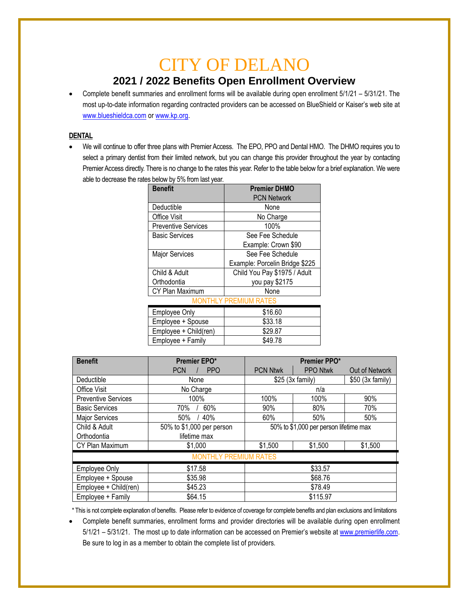# CITY OF DELANO

## **2021 / 2022 Benefits Open Enrollment Overview**

 Complete benefit summaries and enrollment forms will be available during open enrollment 5/1/21 – 5/31/21. The most up-to-date information regarding contracted providers can be accessed on BlueShield or Kaiser's web site at [www.blueshieldca.com](http://www.blueshieldca.com/) or [www.kp.org.](http://www.kp.org/)

## **DENTAL**

 We will continue to offer three plans with Premier Access. The EPO, PPO and Dental HMO. The DHMO requires you to select a primary dentist from their limited network, but you can change this provider throughout the year by contacting Premier Access directly. There is no change to the rates this year. Refer to the table below for a brief explanation. We were able to decrease the rates below by 5% from last year.

| Benefit                      | <b>Premier DHMO</b>            |  |  |  |
|------------------------------|--------------------------------|--|--|--|
|                              | <b>PCN Network</b>             |  |  |  |
| Deductible                   | None                           |  |  |  |
| <b>Office Visit</b>          | No Charge                      |  |  |  |
| <b>Preventive Services</b>   | 100%                           |  |  |  |
| Basic Services               | See Fee Schedule               |  |  |  |
|                              | Example: Crown \$90            |  |  |  |
| <b>Major Services</b>        | See Fee Schedule               |  |  |  |
|                              | Example: Porcelin Bridge \$225 |  |  |  |
| Child & Adult                | Child You Pay \$1975 / Adult   |  |  |  |
| Orthodontia                  | you pay \$2175                 |  |  |  |
| CY Plan Maximum              | None                           |  |  |  |
| <b>MONTHLY PREMIUM RATES</b> |                                |  |  |  |
| <b>Employee Only</b>         | \$16.60                        |  |  |  |
| Employee + Spouse            | \$33.18                        |  |  |  |
| Employee + Child(ren)        | \$29.87                        |  |  |  |
| Employee + Family            | \$49.78                        |  |  |  |

| <b>Benefit</b>               | Premier EPO*              | Premier PPO*                           |                 |                   |
|------------------------------|---------------------------|----------------------------------------|-----------------|-------------------|
|                              | <b>PCN</b><br><b>PPO</b>  | <b>PCN Ntwk</b>                        | <b>PPO Ntwk</b> | Out of Network    |
| Deductible                   | None                      | \$25 (3x family)                       |                 | $$50$ (3x family) |
| Office Visit                 | No Charge                 | n/a                                    |                 |                   |
| <b>Preventive Services</b>   | 100%                      | 100%                                   | 100%            | 90%               |
| <b>Basic Services</b>        | 60%<br>70%                | 90%                                    | 80%             | 70%               |
| <b>Major Services</b>        | 40%<br>50%                | 60%                                    | 50%             | 50%               |
| Child & Adult                | 50% to \$1,000 per person | 50% to \$1,000 per person lifetime max |                 |                   |
| Orthodontia                  | lifetime max              |                                        |                 |                   |
| CY Plan Maximum              | \$1,000                   | \$1,500                                | \$1,500         | \$1,500           |
| <b>MONTHLY PREMIUM RATES</b> |                           |                                        |                 |                   |
| <b>Employee Only</b>         | \$17.58                   | \$33.57                                |                 |                   |
| Employee + Spouse            | \$35.98                   | \$68.76                                |                 |                   |
| Employee + Child(ren)        | \$45.23                   | \$78.49                                |                 |                   |
| Employee + Family            | \$64.15                   | \$115.97                               |                 |                   |

\* This is not complete explanation of benefits. Please refer to evidence of coverage for complete benefits and plan exclusions and limitations

 Complete benefit summaries, enrollment forms and provider directories will be available during open enrollment 5/1/21 - 5/31/21. The most up to date information can be accessed on Premier's website a[t www.premierlife.com.](http://www.premierlife.com/) Be sure to log in as a member to obtain the complete list of providers.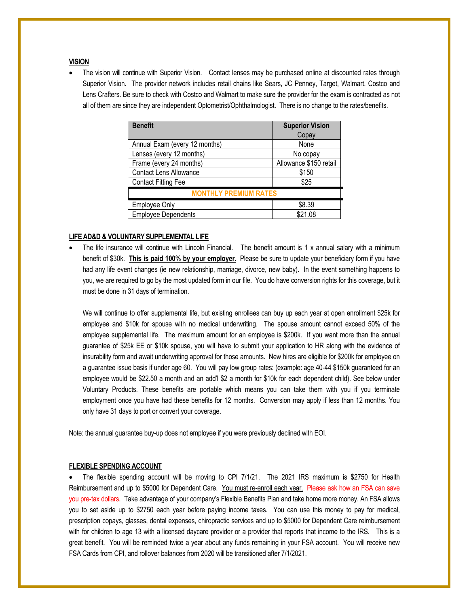#### **VISION**

 The vision will continue with Superior Vision. Contact lenses may be purchased online at discounted rates through Superior Vision. The provider network includes retail chains like Sears, JC Penney, Target, Walmart. Costco and Lens Crafters. Be sure to check with Costco and Walmart to make sure the provider for the exam is contracted as not all of them are since they are independent Optometrist/Ophthalmologist. There is no change to the rates/benefits.

| <b>Benefit</b>                | <b>Superior Vision</b> |  |  |
|-------------------------------|------------------------|--|--|
|                               | Copay                  |  |  |
| Annual Exam (every 12 months) | None                   |  |  |
| Lenses (every 12 months)      | No copay               |  |  |
| Frame (every 24 months)       | Allowance \$150 retail |  |  |
| <b>Contact Lens Allowance</b> | \$150                  |  |  |
| <b>Contact Fitting Fee</b>    | \$25                   |  |  |
| <b>MONTHLY PREMIUM RATES</b>  |                        |  |  |
| <b>Employee Only</b>          | \$8.39                 |  |  |
| <b>Employee Dependents</b>    | \$21.08                |  |  |

#### **LIFE AD&D & VOLUNTARY SUPPLEMENTAL LIFE**

 The life insurance will continue with Lincoln Financial. The benefit amount is 1 x annual salary with a minimum benefit of \$30k. **This is paid 100% by your employer.** Please be sure to update your beneficiary form if you have had any life event changes (ie new relationship, marriage, divorce, new baby). In the event something happens to you, we are required to go by the most updated form in our file. You do have conversion rights for this coverage, but it must be done in 31 days of termination.

We will continue to offer supplemental life, but existing enrollees can buy up each year at open enrollment \$25k for employee and \$10k for spouse with no medical underwriting. The spouse amount cannot exceed 50% of the employee supplemental life. The maximum amount for an employee is \$200k. If you want more than the annual guarantee of \$25k EE or \$10k spouse, you will have to submit your application to HR along with the evidence of insurability form and await underwriting approval for those amounts. New hires are eligible for \$200k for employee on a guarantee issue basis if under age 60. You will pay low group rates: (example: age 40-44 \$150k guaranteed for an employee would be \$22.50 a month and an add'l \$2 a month for \$10k for each dependent child). See below under Voluntary Products. These benefits are portable which means you can take them with you if you terminate employment once you have had these benefits for 12 months. Conversion may apply if less than 12 months. You only have 31 days to port or convert your coverage.

Note: the annual guarantee buy-up does not employee if you were previously declined with EOI.

#### **FLEXIBLE SPENDING ACCOUNT**

 The flexible spending account will be moving to CPI 7/1/21. The 2021 IRS maximum is \$2750 for Health Reimbursement and up to \$5000 for Dependent Care. You must re-enroll each year. Please ask how an FSA can save you pre-tax dollars. Take advantage of your company's Flexible Benefits Plan and take home more money. An FSA allows you to set aside up to \$2750 each year before paying income taxes. You can use this money to pay for medical, prescription copays, glasses, dental expenses, chiropractic services and up to \$5000 for Dependent Care reimbursement with for children to age 13 with a licensed daycare provider or a provider that reports that income to the IRS. This is a great benefit. You will be reminded twice a year about any funds remaining in your FSA account. You will receive new FSA Cards from CPI, and rollover balances from 2020 will be transitioned after 7/1/2021.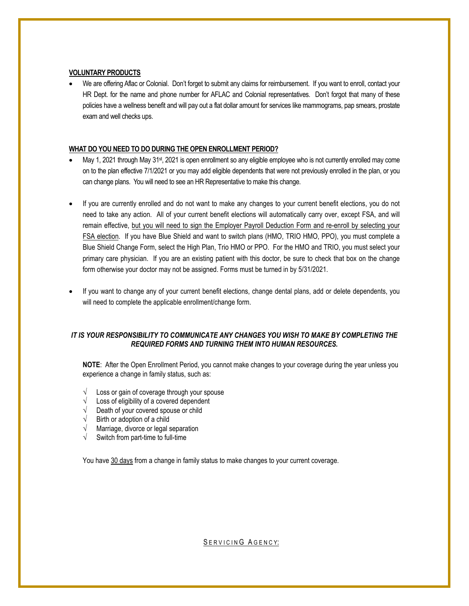#### **VOLUNTARY PRODUCTS**

 We are offering Aflac or Colonial. Don't forget to submit any claims for reimbursement. If you want to enroll, contact your HR Dept. for the name and phone number for AFLAC and Colonial representatives. Don't forgot that many of these policies have a wellness benefit and will pay out a flat dollar amount for services like mammograms, pap smears, prostate exam and well checks ups.

#### **WHAT DO YOU NEED TO DO DURING THE OPEN ENROLLMENT PERIOD?**

- May 1, 2021 through May 31<sup>st</sup>, 2021 is open enrollment so any eligible employee who is not currently enrolled may come on to the plan effective 7/1/2021 or you may add eligible dependents that were not previously enrolled in the plan, or you can change plans. You will need to see an HR Representative to make this change.
- If you are currently enrolled and do not want to make any changes to your current benefit elections, you do not need to take any action. All of your current benefit elections will automatically carry over, except FSA, and will remain effective, but you will need to sign the Employer Payroll Deduction Form and re-enroll by selecting your FSA election. If you have Blue Shield and want to switch plans (HMO, TRIO HMO, PPO), you must complete a Blue Shield Change Form, select the High Plan, Trio HMO or PPO. For the HMO and TRIO, you must select your primary care physician. If you are an existing patient with this doctor, be sure to check that box on the change form otherwise your doctor may not be assigned. Forms must be turned in by 5/31/2021.
- If you want to change any of your current benefit elections, change dental plans, add or delete dependents, you will need to complete the applicable enrollment/change form.

### *IT IS YOUR RESPONSIBILITY TO COMMUNICATE ANY CHANGES YOU WISH TO MAKE BY COMPLETING THE REQUIRED FORMS AND TURNING THEM INTO HUMAN RESOURCES.*

**NOTE**: After the Open Enrollment Period, you cannot make changes to your coverage during the year unless you experience a change in family status, such as:

- $\sqrt{\phantom{a}}$  Loss or gain of coverage through your spouse
- $\sqrt{\phantom{a}}$  Loss of eligibility of a covered dependent
- $\sqrt{\phantom{a}}$  Death of your covered spouse or child
- $\sqrt{\phantom{a}}$  Birth or adoption of a child
- $\sqrt{\phantom{a}}$  Marriage, divorce or legal separation
- $\sqrt{\phantom{a}}$  Switch from part-time to full-time

You have 30 days from a change in family status to make changes to your current coverage.

SERVICING AGENCY: